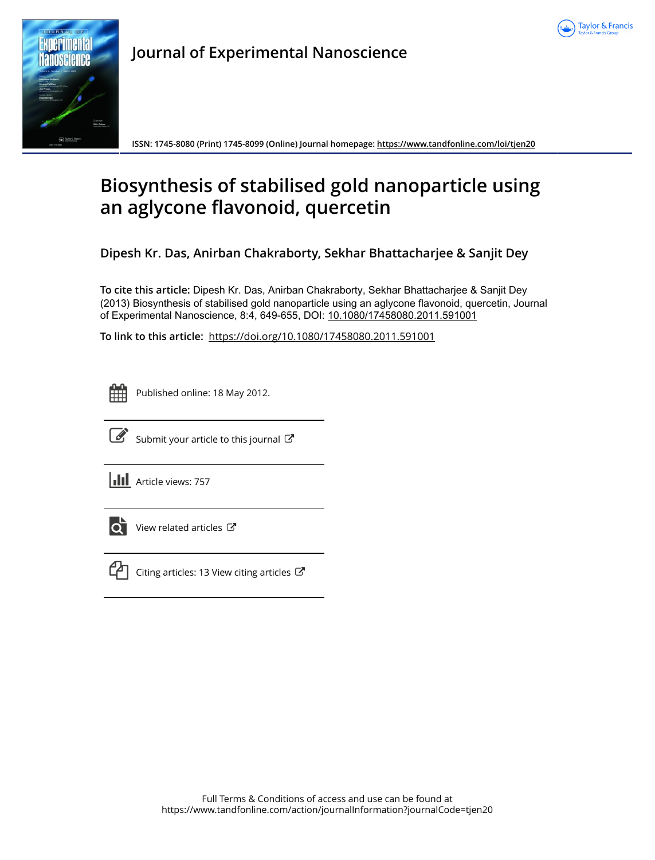



**Journal of Experimental Nanoscience**

**ISSN: 1745-8080 (Print) 1745-8099 (Online) Journal homepage:<https://www.tandfonline.com/loi/tjen20>**

# **Biosynthesis of stabilised gold nanoparticle using an aglycone flavonoid, quercetin**

**Dipesh Kr. Das, Anirban Chakraborty, Sekhar Bhattacharjee & Sanjit Dey**

**To cite this article:** Dipesh Kr. Das, Anirban Chakraborty, Sekhar Bhattacharjee & Sanjit Dey (2013) Biosynthesis of stabilised gold nanoparticle using an aglycone flavonoid, quercetin, Journal of Experimental Nanoscience, 8:4, 649-655, DOI: [10.1080/17458080.2011.591001](https://www.tandfonline.com/action/showCitFormats?doi=10.1080/17458080.2011.591001)

**To link to this article:** <https://doi.org/10.1080/17458080.2011.591001>



Published online: 18 May 2012.



 $\overrightarrow{S}$  [Submit your article to this journal](https://www.tandfonline.com/action/authorSubmission?journalCode=tjen20&show=instructions)  $\overrightarrow{S}$ 

**III** Article views: 757



 $\overline{\mathbf{C}}$  [View related articles](https://www.tandfonline.com/doi/mlt/10.1080/17458080.2011.591001)  $\mathbf{C}$ 



 $\mathbb{C}$  [Citing articles: 13 View citing articles](https://www.tandfonline.com/doi/citedby/10.1080/17458080.2011.591001#tabModule)  $\mathbb{C}$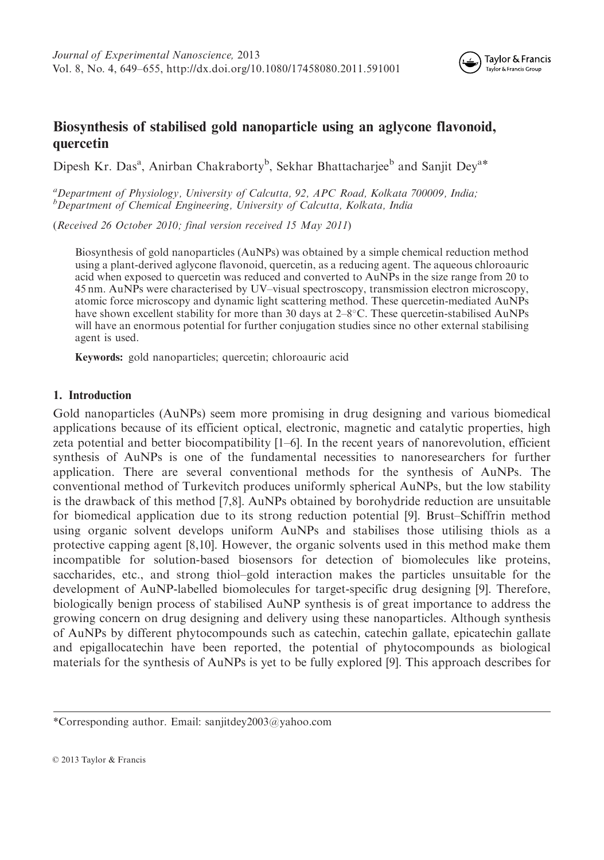

## Biosynthesis of stabilised gold nanoparticle using an aglycone flavonoid, quercetin

Dipesh Kr. Das<sup>a</sup>, Anirban Chakraborty<sup>b</sup>, Sekhar Bhattacharjee<sup>b</sup> and Sanjit Dey<sup>a\*</sup>

<sup>a</sup>Department of Physiology, University of Calcutta, 92, APC Road, Kolkata 700009, India; <sup>b</sup>Department of Chemical Engineering, University of Calcutta, Kolkata, India

(Received 26 October 2010; final version received 15 May 2011)

Biosynthesis of gold nanoparticles (AuNPs) was obtained by a simple chemical reduction method using a plant-derived aglycone flavonoid, quercetin, as a reducing agent. The aqueous chloroauric acid when exposed to quercetin was reduced and converted to AuNPs in the size range from 20 to 45 nm. AuNPs were characterised by UV–visual spectroscopy, transmission electron microscopy, atomic force microscopy and dynamic light scattering method. These quercetin-mediated AuNPs have shown excellent stability for more than 30 days at  $2-8^{\circ}$ C. These quercetin-stabilised AuNPs will have an enormous potential for further conjugation studies since no other external stabilising agent is used.

Keywords: gold nanoparticles; quercetin; chloroauric acid

#### 1. Introduction

Gold nanoparticles (AuNPs) seem more promising in drug designing and various biomedical applications because of its efficient optical, electronic, magnetic and catalytic properties, high zeta potential and better biocompatibility [1–6]. In the recent years of nanorevolution, efficient synthesis of AuNPs is one of the fundamental necessities to nanoresearchers for further application. There are several conventional methods for the synthesis of AuNPs. The conventional method of Turkevitch produces uniformly spherical AuNPs, but the low stability is the drawback of this method [7,8]. AuNPs obtained by borohydride reduction are unsuitable for biomedical application due to its strong reduction potential [9]. Brust–Schiffrin method using organic solvent develops uniform AuNPs and stabilises those utilising thiols as a protective capping agent [8,10]. However, the organic solvents used in this method make them incompatible for solution-based biosensors for detection of biomolecules like proteins, saccharides, etc., and strong thiol–gold interaction makes the particles unsuitable for the development of AuNP-labelled biomolecules for target-specific drug designing [9]. Therefore, biologically benign process of stabilised AuNP synthesis is of great importance to address the growing concern on drug designing and delivery using these nanoparticles. Although synthesis of AuNPs by different phytocompounds such as catechin, catechin gallate, epicatechin gallate and epigallocatechin have been reported, the potential of phytocompounds as biological materials for the synthesis of AuNPs is yet to be fully explored [9]. This approach describes for

<sup>\*</sup>Corresponding author. Email: sanjitdey2003@yahoo.com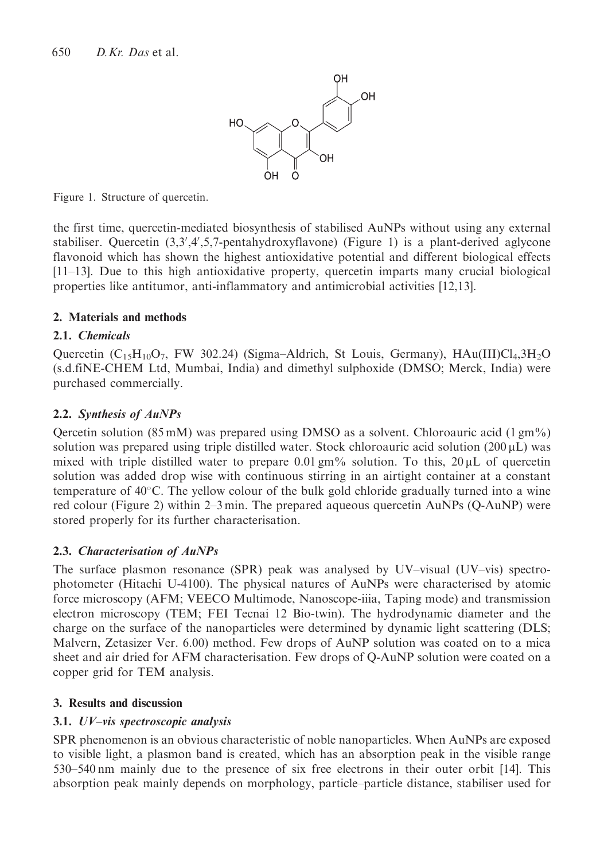

Figure 1. Structure of quercetin.

the first time, quercetin-mediated biosynthesis of stabilised AuNPs without using any external stabiliser. Quercetin  $(3,3',4',5,7)$ -pentahydroxyflavone) (Figure 1) is a plant-derived aglycone flavonoid which has shown the highest antioxidative potential and different biological effects [11–13]. Due to this high antioxidative property, quercetin imparts many crucial biological properties like antitumor, anti-inflammatory and antimicrobial activities [12,13].

## 2. Materials and methods

## 2.1. Chemicals

Quercetin  $(C_{15}H_{10}O_7$ , FW 302.24) (Sigma–Aldrich, St Louis, Germany),  $HAu(III)Cl<sub>4</sub>,3H<sub>2</sub>O$ (s.d.fiNE-CHEM Ltd, Mumbai, India) and dimethyl sulphoxide (DMSO; Merck, India) were purchased commercially.

## 2.2. Synthesis of AuNPs

Qercetin solution (85 mM) was prepared using DMSO as a solvent. Chloroauric acid (1 gm%) solution was prepared using triple distilled water. Stock chloroauric acid solution  $(200 \,\mu L)$  was mixed with triple distilled water to prepare 0.01 gm% solution. To this,  $20 \mu L$  of quercetin solution was added drop wise with continuous stirring in an airtight container at a constant temperature of  $40^{\circ}$ C. The yellow colour of the bulk gold chloride gradually turned into a wine red colour (Figure 2) within 2–3 min. The prepared aqueous quercetin AuNPs (Q-AuNP) were stored properly for its further characterisation.

## 2.3. Characterisation of AuNPs

The surface plasmon resonance (SPR) peak was analysed by UV–visual (UV–vis) spectrophotometer (Hitachi U-4100). The physical natures of AuNPs were characterised by atomic force microscopy (AFM; VEECO Multimode, Nanoscope-iiia, Taping mode) and transmission electron microscopy (TEM; FEI Tecnai 12 Bio-twin). The hydrodynamic diameter and the charge on the surface of the nanoparticles were determined by dynamic light scattering (DLS; Malvern, Zetasizer Ver. 6.00) method. Few drops of AuNP solution was coated on to a mica sheet and air dried for AFM characterisation. Few drops of Q-AuNP solution were coated on a copper grid for TEM analysis.

## 3. Results and discussion

## 3.1. UV–vis spectroscopic analysis

SPR phenomenon is an obvious characteristic of noble nanoparticles. When AuNPs are exposed to visible light, a plasmon band is created, which has an absorption peak in the visible range 530–540 nm mainly due to the presence of six free electrons in their outer orbit [14]. This absorption peak mainly depends on morphology, particle–particle distance, stabiliser used for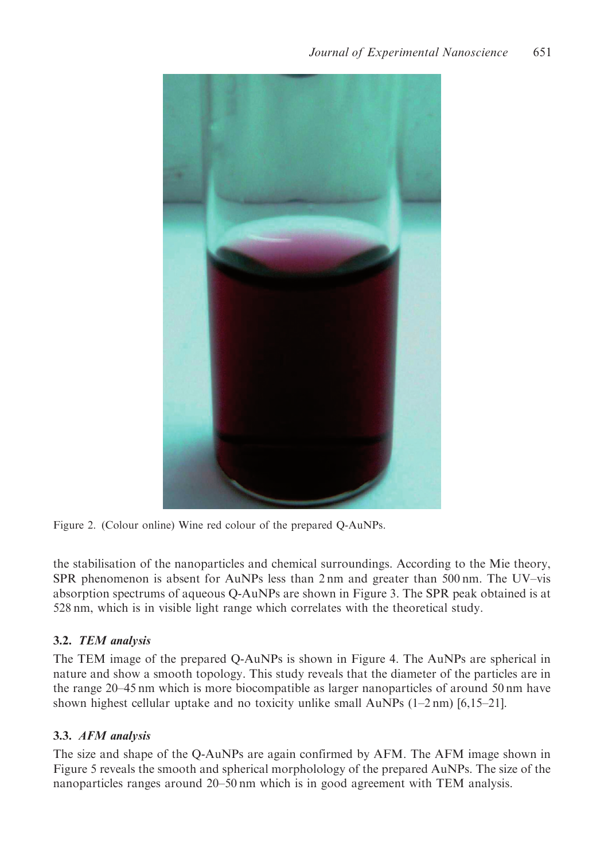

Figure 2. (Colour online) Wine red colour of the prepared Q-AuNPs.

the stabilisation of the nanoparticles and chemical surroundings. According to the Mie theory, SPR phenomenon is absent for AuNPs less than 2 nm and greater than 500 nm. The UV–vis absorption spectrums of aqueous Q-AuNPs are shown in Figure 3. The SPR peak obtained is at 528 nm, which is in visible light range which correlates with the theoretical study.

## 3.2. TEM analysis

The TEM image of the prepared Q-AuNPs is shown in Figure 4. The AuNPs are spherical in nature and show a smooth topology. This study reveals that the diameter of the particles are in the range 20–45 nm which is more biocompatible as larger nanoparticles of around 50 nm have shown highest cellular uptake and no toxicity unlike small  $AuNPs$  (1–2 nm) [6,15–21].

## 3.3. AFM analysis

The size and shape of the Q-AuNPs are again confirmed by AFM. The AFM image shown in Figure 5 reveals the smooth and spherical morpholology of the prepared AuNPs. The size of the nanoparticles ranges around 20–50 nm which is in good agreement with TEM analysis.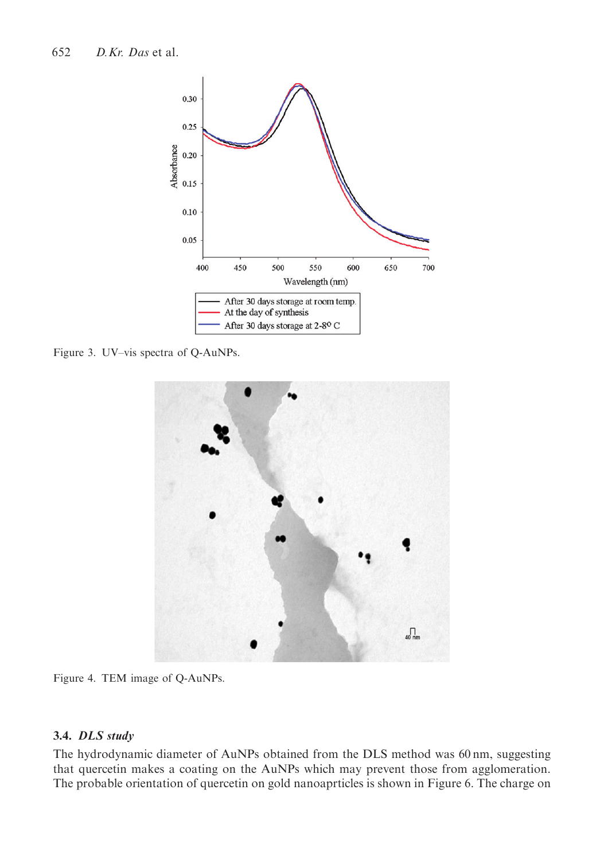

Figure 3. UV–vis spectra of Q-AuNPs.



Figure 4. TEM image of Q-AuNPs.

## 3.4. DLS study

The hydrodynamic diameter of AuNPs obtained from the DLS method was 60 nm, suggesting that quercetin makes a coating on the AuNPs which may prevent those from agglomeration. The probable orientation of quercetin on gold nanoaprticles is shown in Figure 6. The charge on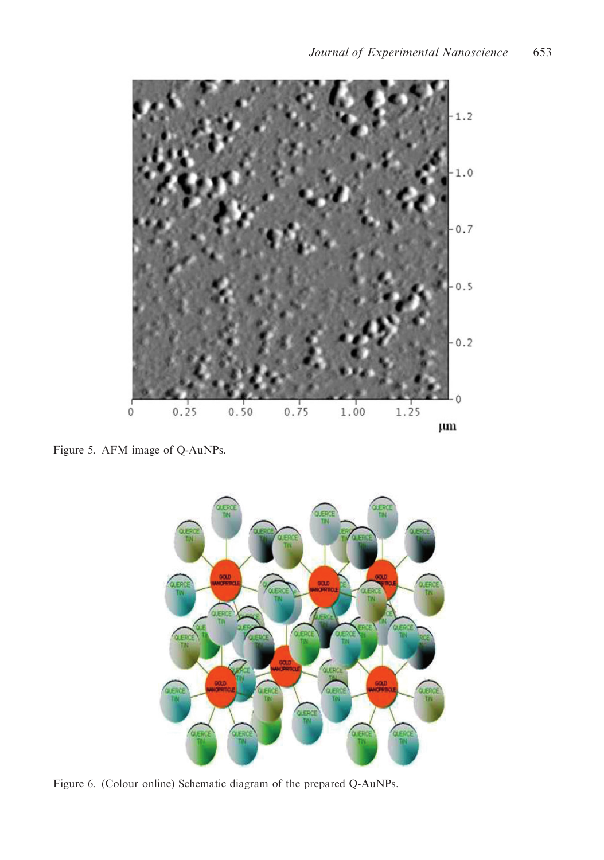

Figure 5. AFM image of Q-AuNPs.



Figure 6. (Colour online) Schematic diagram of the prepared Q-AuNPs.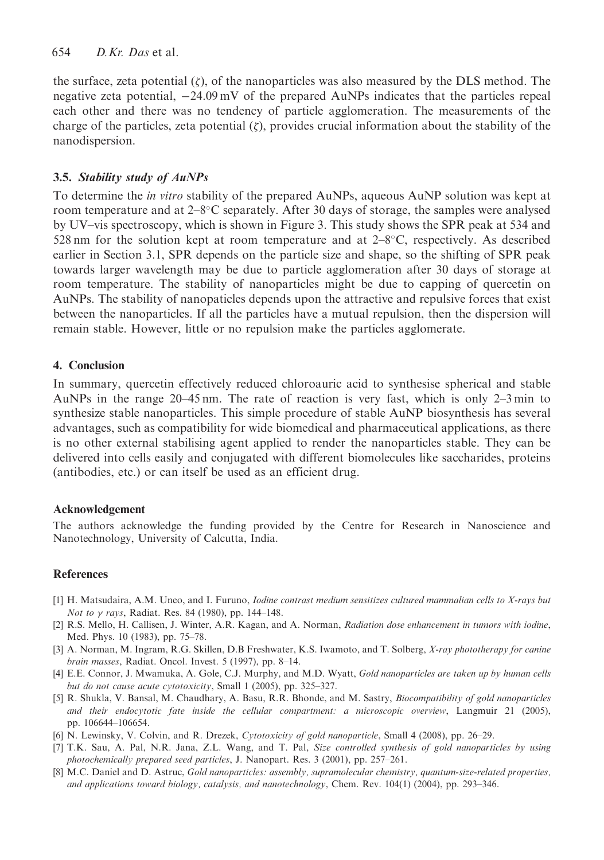the surface, zeta potential  $(\zeta)$ , of the nanoparticles was also measured by the DLS method. The negative zeta potential,  $-24.09 \text{ mV}$  of the prepared AuNPs indicates that the particles repeal each other and there was no tendency of particle agglomeration. The measurements of the charge of the particles, zeta potential  $(\zeta)$ , provides crucial information about the stability of the nanodispersion.

## 3.5. Stability study of AuNPs

To determine the in vitro stability of the prepared AuNPs, aqueous AuNP solution was kept at room temperature and at  $2-8$ °C separately. After 30 days of storage, the samples were analysed by UV–vis spectroscopy, which is shown in Figure 3. This study shows the SPR peak at 534 and 528 nm for the solution kept at room temperature and at  $2-8\degree C$ , respectively. As described earlier in Section 3.1, SPR depends on the particle size and shape, so the shifting of SPR peak towards larger wavelength may be due to particle agglomeration after 30 days of storage at room temperature. The stability of nanoparticles might be due to capping of quercetin on AuNPs. The stability of nanopaticles depends upon the attractive and repulsive forces that exist between the nanoparticles. If all the particles have a mutual repulsion, then the dispersion will remain stable. However, little or no repulsion make the particles agglomerate.

#### 4. Conclusion

In summary, quercetin effectively reduced chloroauric acid to synthesise spherical and stable AuNPs in the range 20–45 nm. The rate of reaction is very fast, which is only 2–3 min to synthesize stable nanoparticles. This simple procedure of stable AuNP biosynthesis has several advantages, such as compatibility for wide biomedical and pharmaceutical applications, as there is no other external stabilising agent applied to render the nanoparticles stable. They can be delivered into cells easily and conjugated with different biomolecules like saccharides, proteins (antibodies, etc.) or can itself be used as an efficient drug.

#### Acknowledgement

The authors acknowledge the funding provided by the Centre for Research in Nanoscience and Nanotechnology, University of Calcutta, India.

## References

- [1] H. Matsudaira, A.M. Uneo, and I. Furuno, Iodine contrast medium sensitizes cultured mammalian cells to X-rays but Not to  $\gamma$  rays, Radiat. Res. 84 (1980), pp. 144-148.
- [2] R.S. Mello, H. Callisen, J. Winter, A.R. Kagan, and A. Norman, Radiation dose enhancement in tumors with iodine, Med. Phys. 10 (1983), pp. 75–78.
- [3] A. Norman, M. Ingram, R.G. Skillen, D.B Freshwater, K.S. Iwamoto, and T. Solberg, X-ray phototherapy for canine brain masses, Radiat. Oncol. Invest. 5 (1997), pp. 8–14.
- [4] E.E. Connor, J. Mwamuka, A. Gole, C.J. Murphy, and M.D. Wyatt, Gold nanoparticles are taken up by human cells but do not cause acute cytotoxicity, Small 1 (2005), pp. 325–327.
- [5] R. Shukla, V. Bansal, M. Chaudhary, A. Basu, R.R. Bhonde, and M. Sastry, Biocompatibility of gold nanoparticles and their endocytotic fate inside the cellular compartment: a microscopic overview, Langmuir 21 (2005), pp. 106644–106654.
- [6] N. Lewinsky, V. Colvin, and R. Drezek, Cytotoxicity of gold nanoparticle, Small 4 (2008), pp. 26-29.
- [7] T.K. Sau, A. Pal, N.R. Jana, Z.L. Wang, and T. Pal, Size controlled synthesis of gold nanoparticles by using photochemically prepared seed particles, J. Nanopart. Res. 3 (2001), pp. 257–261.
- [8] M.C. Daniel and D. Astruc, Gold nanoparticles: assembly, supramolecular chemistry, quantum-size-related properties, and applications toward biology, catalysis, and nanotechnology, Chem. Rev. 104(1) (2004), pp. 293–346.